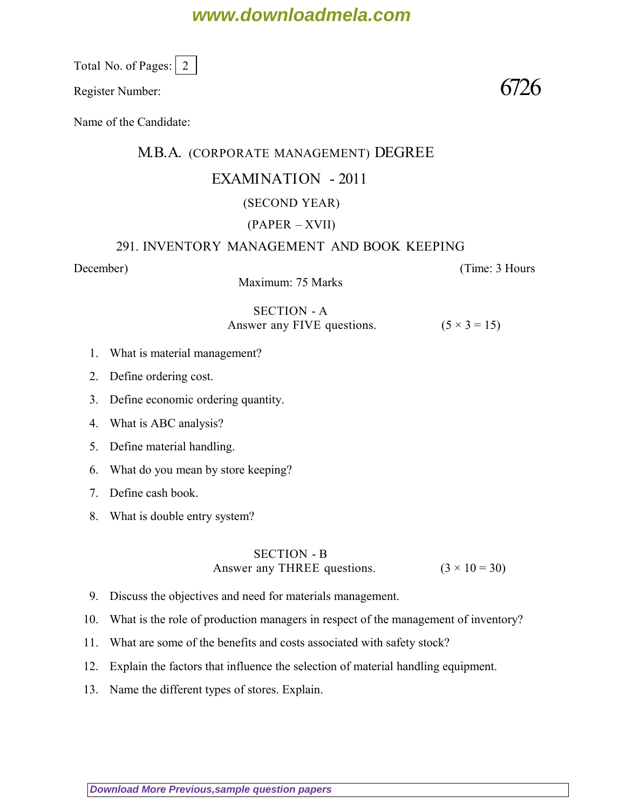# **www.downloadmela.com**

Total No. of Pages:  $\vert 2 \vert$ 

Register Number:  $6726$ 

Name of the Candidate:

### M.B.A. (CORPORATE MANAGEMENT) DEGREE

### EXAMINATION - 2011

## (SECOND YEAR)

### (PAPER – XVII)

#### 291. INVENTORY MANAGEMENT AND BOOK KEEPING

*December*) (*Time: 3 Hours*

Maximum: 75 Marks

SECTION - A Answer any FIVE questions.  $(5 \times 3 = 15)$ 

- 1. What is material management?
- 2. Define ordering cost.
- 3. Define economic ordering quantity.
- 4. What is ABC analysis?
- 5. Define material handling.
- 6. What do you mean by store keeping?
- 7. Define cash book.
- 8. What is double entry system?

#### SECTION - B

Answer any THREE questions.  $(3 \times 10 = 30)$ 

- 9. Discuss the objectives and need for materials management.
- 10. What is the role of production managers in respect of the management of inventory?
- 11. What are some of the benefits and costs associated with safety stock?
- 12. Explain the factors that influence the selection of material handling equipment.
- 13. Name the different types of stores. Explain.